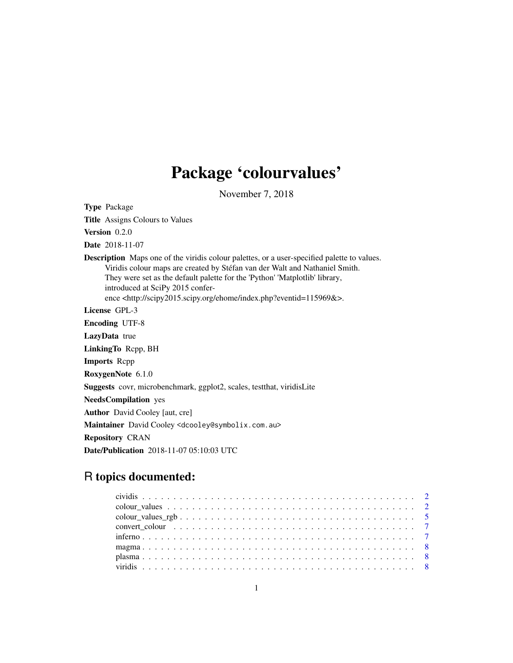# Package 'colourvalues'

November 7, 2018

Type Package

Title Assigns Colours to Values

Version 0.2.0

Date 2018-11-07

Description Maps one of the viridis colour palettes, or a user-specified palette to values. Viridis colour maps are created by Stéfan van der Walt and Nathaniel Smith. They were set as the default palette for the 'Python' 'Matplotlib' library, introduced at SciPy 2015 conference <http://scipy2015.scipy.org/ehome/index.php?eventid=115969&>.

License GPL-3

Encoding UTF-8

LazyData true

LinkingTo Rcpp, BH

Imports Rcpp

RoxygenNote 6.1.0

Suggests covr, microbenchmark, ggplot2, scales, testthat, viridisLite

NeedsCompilation yes

Author David Cooley [aut, cre]

Maintainer David Cooley <dcooley@symbolix.com.au>

Repository CRAN

Date/Publication 2018-11-07 05:10:03 UTC

## R topics documented:

| convert colour entering to the convert colour entering to the convert colour entering to the contract of the contract of the contract of the contract of the contract of the contract of the contract of the contract of the c |  |
|--------------------------------------------------------------------------------------------------------------------------------------------------------------------------------------------------------------------------------|--|
|                                                                                                                                                                                                                                |  |
|                                                                                                                                                                                                                                |  |
|                                                                                                                                                                                                                                |  |
|                                                                                                                                                                                                                                |  |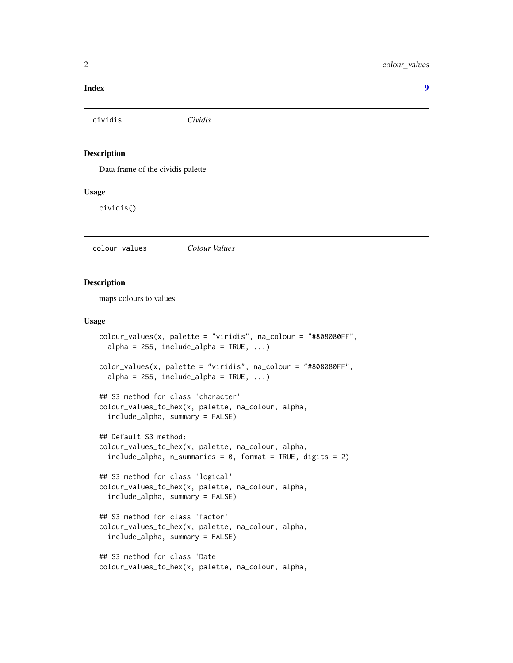#### <span id="page-1-0"></span>**Index** [9](#page-8-0)

| cividis            | Cividis                           |  |  |
|--------------------|-----------------------------------|--|--|
|                    |                                   |  |  |
| <b>Description</b> |                                   |  |  |
|                    | Data frame of the cividis palette |  |  |
| <b>Usage</b>       |                                   |  |  |
| cividis()          |                                   |  |  |
|                    |                                   |  |  |

colour\_values *Colour Values*

#### Description

maps colours to values

#### Usage

```
colour_values(x, palette = "viridis", na_colour = "#808080FF",
  alpha = 255, include\_alpha = TRUE, ...color_values(x, palette = "viridis", na_colour = "#808080FF",
  alpha = 255, include\_alpha = TRUE, ...)
## S3 method for class 'character'
colour_values_to_hex(x, palette, na_colour, alpha,
  include_alpha, summary = FALSE)
## Default S3 method:
colour_values_to_hex(x, palette, na_colour, alpha,
  include_{=a1}pha, n_summaries = 0, format = TRUE, digits = 2)
## S3 method for class 'logical'
colour_values_to_hex(x, palette, na_colour, alpha,
  include_alpha, summary = FALSE)
## S3 method for class 'factor'
colour_values_to_hex(x, palette, na_colour, alpha,
  include_alpha, summary = FALSE)
## S3 method for class 'Date'
colour_values_to_hex(x, palette, na_colour, alpha,
```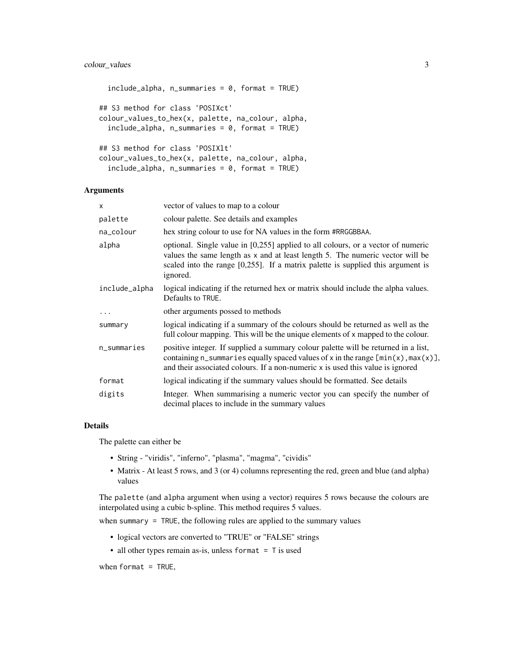#### colour\_values 3

```
include_alpha, n_summaries = 0, format = TRUE)
## S3 method for class 'POSIXct'
colour_values_to_hex(x, palette, na_colour, alpha,
  include_alpha, n_summaries = 0, format = TRUE)
## S3 method for class 'POSIXlt'
colour_values_to_hex(x, palette, na_colour, alpha,
  include_alpha, n_summaries = 0, format = TRUE)
```
#### Arguments

| $\mathsf{x}$  | vector of values to map to a colour                                                                                                                                                                                                                                 |
|---------------|---------------------------------------------------------------------------------------------------------------------------------------------------------------------------------------------------------------------------------------------------------------------|
| palette       | colour palette. See details and examples                                                                                                                                                                                                                            |
| na_colour     | hex string colour to use for NA values in the form #RRGGBBAA.                                                                                                                                                                                                       |
| alpha         | optional. Single value in [0,255] applied to all colours, or a vector of numeric<br>values the same length as x and at least length 5. The numeric vector will be<br>scaled into the range $[0,255]$ . If a matrix palette is supplied this argument is<br>ignored. |
| include_alpha | logical indicating if the returned hex or matrix should include the alpha values.<br>Defaults to TRUE.                                                                                                                                                              |
| .             | other arguments possed to methods                                                                                                                                                                                                                                   |
| summary       | logical indicating if a summary of the colours should be returned as well as the<br>full colour mapping. This will be the unique elements of x mapped to the colour.                                                                                                |
| n_summaries   | positive integer. If supplied a summary colour palette will be returned in a list,<br>containing n_summaries equally spaced values of x in the range $[\min(x), \max(x)]$ ,<br>and their associated colours. If a non-numeric x is used this value is ignored       |
| format        | logical indicating if the summary values should be formatted. See details                                                                                                                                                                                           |
| digits        | Integer. When summarising a numeric vector you can specify the number of<br>decimal places to include in the summary values                                                                                                                                         |

#### Details

The palette can either be

- String "viridis", "inferno", "plasma", "magma", "cividis"
- Matrix At least 5 rows, and 3 (or 4) columns representing the red, green and blue (and alpha) values

The palette (and alpha argument when using a vector) requires 5 rows because the colours are interpolated using a cubic b-spline. This method requires 5 values.

when summary = TRUE, the following rules are applied to the summary values

- logical vectors are converted to "TRUE" or "FALSE" strings
- all other types remain as-is, unless format  $=$  T is used

when format =  $TRUE$ ,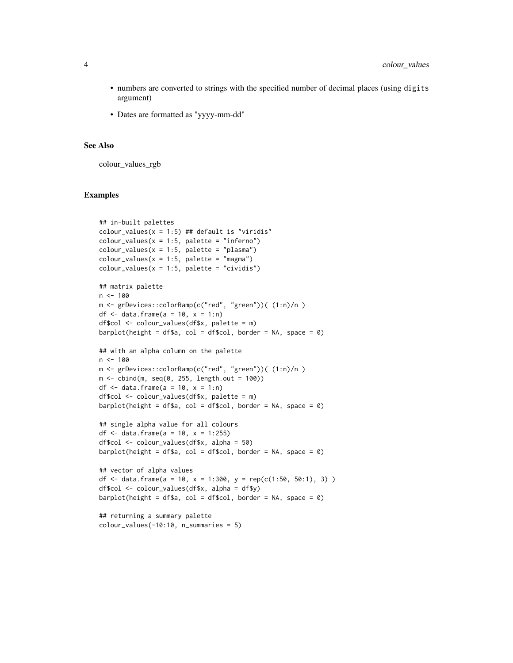- numbers are converted to strings with the specified number of decimal places (using digits argument)
- Dates are formatted as "yyyy-mm-dd"

#### See Also

colour\_values\_rgb

#### Examples

```
## in-built palettes
colour_values(x = 1:5) ## default is "viridis"
colour_values(x = 1:5, platete = "inferno")colour_values(x = 1:5, platete = "plasma")colour_values(x = 1:5, platete = "magma")colour_values(x = 1:5, platete = "cividis")## matrix palette
n < - 100m <- grDevices::colorRamp(c("red", "green"))( (1:n)/n )
df \le data.frame(a = 10, x = 1:n)
df$col <- colour_values(df$x, palette = m)
barplot(height = df$a, col = df$col, border = NA, space = \theta)
## with an alpha column on the palette
n < -100m <- grDevices::colorRamp(c("red", "green"))( (1:n)/n )
m \le - \text{cbind}(m, \text{seq}(0, 255, \text{length.out} = 100))df \le data.frame(a = 10, x = 1:n)
df$col <- colour_values(df$x, palette = m)
barplot(height = df$a, col = df$col, border = NA, space = 0)
## single alpha value for all colours
df <- data.frame(a = 10, x = 1:255)
df$col <- colour_values(df$x, alpha = 50)
barplot(height = df$a, col = df$col, border = NA, space = 0)
## vector of alpha values
df <- data.frame(a = 10, x = 1:300, y = rep(c(1:50, 50:1), 3) )
df$col <- colour_values(df$x, alpha = df$y)
barplot(height = df$a, col = df$col, border = NA, space = 0)
## returning a summary palette
colour_values(-10:10, n_summaries = 5)
```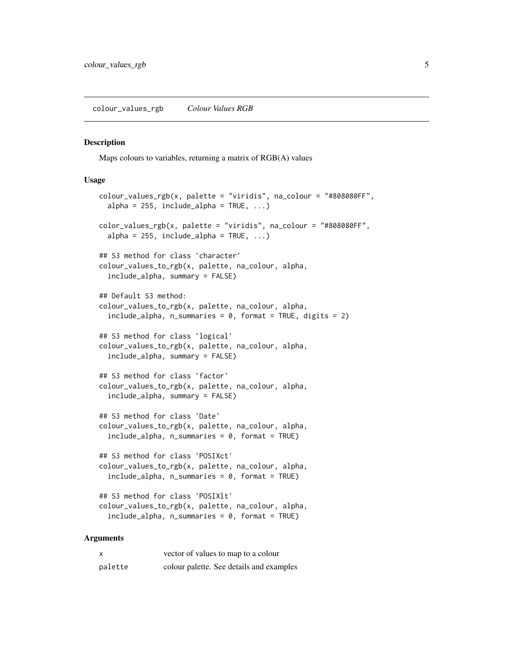#### <span id="page-4-0"></span>Description

Maps colours to variables, returning a matrix of RGB(A) values

#### Usage

```
colour_values_rgb(x, platete = "viridis", na-colour = "#808080FF",alpha = 255, include\_alpha = TRUE, ...)
color_values_rgb(x, palette = "viridis", na_colour = "#808080FF",
  alpha = 255, include\_alpha = TRUE, ...)
## S3 method for class 'character'
colour_values_to_rgb(x, palette, na_colour, alpha,
  include_alpha, summary = FALSE)
## Default S3 method:
colour_values_to_rgb(x, palette, na_colour, alpha,
  include_{ab}, n_summaries = 0, format = TRUE, digits = 2)
## S3 method for class 'logical'
colour_values_to_rgb(x, palette, na_colour, alpha,
  include_alpha, summary = FALSE)
## S3 method for class 'factor'
colour_values_to_rgb(x, palette, na_colour, alpha,
  include_alpha, summary = FALSE)
## S3 method for class 'Date'
colour_values_to_rgb(x, palette, na_colour, alpha,
  include_{ab}, n_summaries = 0, format = TRUE)
## S3 method for class 'POSIXct'
colour_values_to_rgb(x, palette, na_colour, alpha,
  include_{alpha}, n_summaries = 0, format = TRUE)
## S3 method for class 'POSIXlt'
colour_values_to_rgb(x, palette, na_colour, alpha,
  include_alpha, n_summaries = 0, format = TRUE)
```
#### Arguments

| X       | vector of values to map to a colour      |
|---------|------------------------------------------|
| palette | colour palette. See details and examples |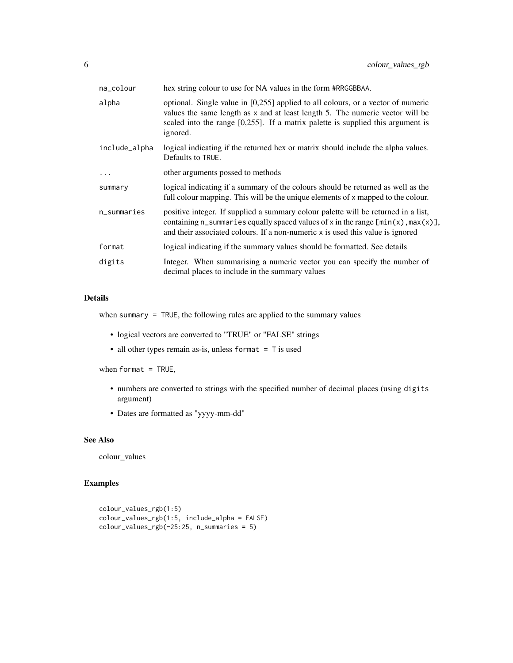| na_colour     | hex string colour to use for NA values in the form #RRGGBBAA.                                                                                                                                                                                                       |
|---------------|---------------------------------------------------------------------------------------------------------------------------------------------------------------------------------------------------------------------------------------------------------------------|
| alpha         | optional. Single value in [0,255] applied to all colours, or a vector of numeric<br>values the same length as x and at least length 5. The numeric vector will be<br>scaled into the range $[0,255]$ . If a matrix palette is supplied this argument is<br>ignored. |
| include_alpha | logical indicating if the returned hex or matrix should include the alpha values.<br>Defaults to TRUE.                                                                                                                                                              |
| $\cdot$       | other arguments possed to methods                                                                                                                                                                                                                                   |
| summary       | logical indicating if a summary of the colours should be returned as well as the<br>full colour mapping. This will be the unique elements of x mapped to the colour.                                                                                                |
| n_summaries   | positive integer. If supplied a summary colour palette will be returned in a list,<br>containing n_summaries equally spaced values of x in the range $[\min(x), \max(x)]$ ,<br>and their associated colours. If a non-numeric x is used this value is ignored       |
| format        | logical indicating if the summary values should be formatted. See details                                                                                                                                                                                           |
| digits        | Integer. When summarising a numeric vector you can specify the number of<br>decimal places to include in the summary values                                                                                                                                         |

#### Details

when summary = TRUE, the following rules are applied to the summary values

- logical vectors are converted to "TRUE" or "FALSE" strings
- all other types remain as-is, unless format = T is used

when format =  $TRUE$ ,

- numbers are converted to strings with the specified number of decimal places (using digits argument)
- Dates are formatted as "yyyy-mm-dd"

#### See Also

colour\_values

### Examples

```
colour_values_rgb(1:5)
colour_values_rgb(1:5, include_alpha = FALSE)
colour_values_rgb(-25:25, n_summaries = 5)
```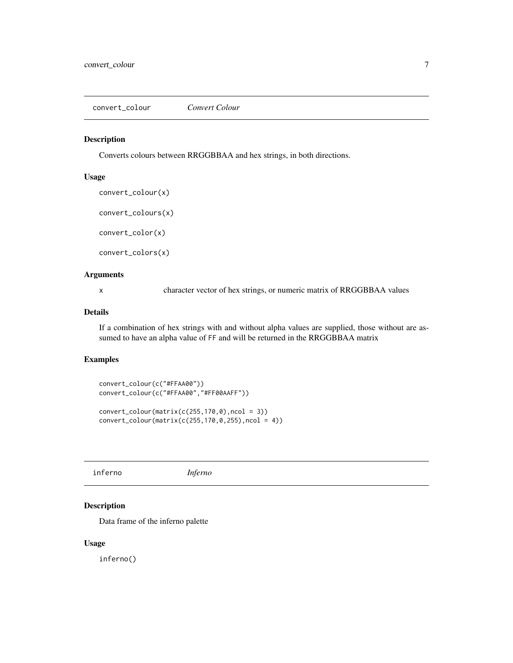<span id="page-6-0"></span>convert\_colour *Convert Colour*

#### Description

Converts colours between RRGGBBAA and hex strings, in both directions.

#### Usage

convert\_colour(x)

convert\_colours(x)

convert\_color(x)

convert\_colors(x)

#### Arguments

x character vector of hex strings, or numeric matrix of RRGGBBAA values

#### Details

If a combination of hex strings with and without alpha values are supplied, those without are assumed to have an alpha value of FF and will be returned in the RRGGBBAA matrix

#### Examples

```
convert_colour(c("#FFAA00"))
convert_colour(c("#FFAA00","#FF00AAFF"))
convert\_colour(matrix(c(255,170,0),ncol = 3))
```
convert\_colour(matrix(c(255,170,0,255),ncol = 4))

inferno *Inferno*

#### Description

Data frame of the inferno palette

#### Usage

inferno()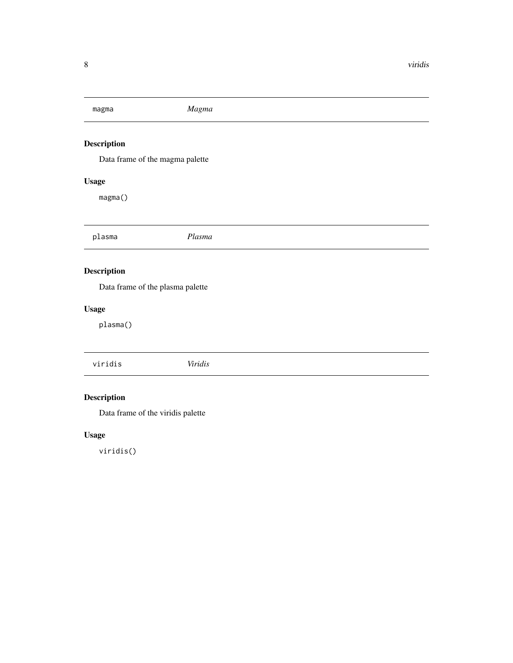<span id="page-7-0"></span>

| magma                                                 | Magma   |
|-------------------------------------------------------|---------|
| <b>Description</b><br>Data frame of the magma palette |         |
| <b>Usage</b>                                          |         |
| magma()                                               |         |
| plasma                                                | Plasma  |
| <b>Description</b>                                    |         |
| Data frame of the plasma palette                      |         |
| <b>Usage</b>                                          |         |
| plasma()                                              |         |
| viridis                                               | Viridis |

## Description

Data frame of the viridis palette

### Usage

viridis()